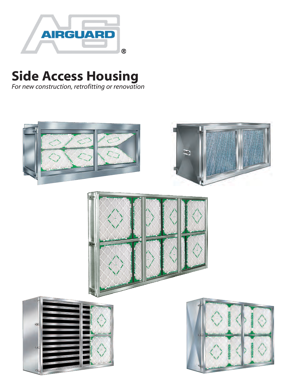

# **Side Access Housing**

*For new construction, retrofitting or renovation* 

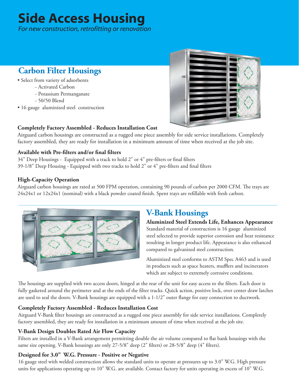## **Side Access Housing**

*For new construction, retrofitting or renovation* 

## **Carbon Filter Housings**

- Select from variety of adsorbents
	- Activated Carbon
	- Potassium Permanganate
	- 50/50 Blend
- 16 gauge aluminized steel construction



#### **Completely Factory Assembled - Reduces Installation Cost**

Airguard carbon housings are constructed as a rugged one piece assembly for side service installations. Completely factory assembled, they are ready for installation in a minimum amount of time when received at the job site.

#### **Available with Pre-filters and/or final filters**

34" Deep Housings - Equipped with a track to hold 2" or 4" pre-filters or final filters 39-1/8" Deep Housing - Equipped with two tracks to hold 2" or 4" pre-filters and final filters

#### **High-Capacity Operation**

Airguard carbon housings are rated at 500 FPM operation, containing 90 pounds of carbon per 2000 CFM. The trays are 24x24x1 or 12x24x1 (nominal) with a black powder coated finish. Spent trays are refillable with fresh carbon.



## **V-Bank Housings**

**Aluminized Steel Extends Life, Enhances Appearance** Standard material of construction is 16 gauge aluminized steel selected to provide superior corrosion and heat resistance resulting in longer product life. Appearance is also enhanced compared to galvanized steel construction.

Aluminized steel conforms to ASTM Spec A463 and is used in products such as space heaters, mufflers and incinerators which are subject to extremely corrosive conditions.

The housings are supplied with two access doors, hinged at the rear of the unit for easy access to the filters. Each door is fully gasketed around the perimeter and at the ends of the filter tracks. Quick action, positive lock, over center draw latches are used to seal the doors. V-Bank housings are equipped with a 1-1/2" outer flange for easy connection to ductwork.

#### **Completely Factory Assembled - Reduces Installation Cost**

Airguard V-Bank filter housings are constructed as a rugged one piece assembly for side service installations. Completely factory assembled, they are ready for installation in a minimum amount of time when received at the job site.

#### **V-Bank Design Doubles Rated Air Flow Capacity**

Filters are installed in a V-Bank arrangement permitting double the air volume compared to flat bank housings with the same size opening. V-Bank housings are only 27-5/8" deep (2" filters) or 28-5/8" deep (4" filters).

#### **Designed for 3.0" W.G. Pressure - Positive or Negative**

16 gauge steel with welded construction allows the standard units to operate at pressures up to 3.0" W.G. High pressure units for applications operating up to 10" W.G. are available. Contact factory for units operating in excess of 10" W.G.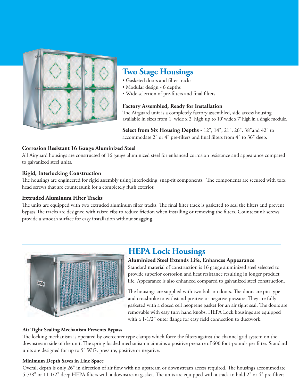

### **Two Stage Housings**

- Gasketed doors and filter tracks
- Modular design 6 depths
- Wide selection of pre-filters and final filters

#### **Factory Assembled, Ready for Installation**

The Airguard unit is a completely factory assembled, side access housing available in sizes from 1' wide x 2' high up to 10' wide x 7' high in a single module.

**Select from Six Housing Depths -** 12", 14", 21", 26", 38"and 42" to accommodate 2" or 4" pre-filters and final filters from 4" to 36" deep.

#### **Corrosion Resistant 16 Gauge Aluminized Steel**

All Airguard housings are constructed of 16 gauge aluminized steel for enhanced corrosion resistance and appearance compared to galvanized steel units.

#### **Rigid, Interlocking Construction**

The housings are engineered for rigid assembly using interlocking, snap-fit components. The components are secured with torx head screws that are countersunk for a completely flush exterior.

#### **Extruded Aluminum Filter Tracks**

The units are equipped with two extruded aluminum filter tracks. The final filter track is gasketed to seal the filters and prevent bypass.The tracks are designed with raised ribs to reduce friction when installing or removing the filters. Countersunk screws provide a smooth surface for easy installation without snagging.



## **HEPA Lock Housings**

#### **Aluminized Steel Extends Life, Enhances Appearance**

Standard material of construction is 16 gauge aluminized steel selected to provide superior corrosion and heat resistance resulting in longer product life. Appearance is also enhanced compared to galvanized steel construction.

The housings are supplied with two bolt-on doors. The doors are pin type and crossbroke to withstand positive or negative pressure. They are fully gasketed with a closed cell neoprene gasket for an air tight seal. The doors are removable with easy turn hand knobs. HEPA Lock housings are equipped with a 1-1/2" outer flange for easy field connection to ductwork.

#### **Air Tight Sealing Mechanism Prevents Bypass**

The locking mechanism is operated by overcenter type clamps which force the filters against the channel grid system on the downstream side of the unit. The spring loaded mechanism maintains a positive pressure of 600 foot-pounds per filter. Standard units are designed for up to 5" W.G. pressure, positive or negative.

#### **Minimum Depth Saves in Line Space**

Overall depth is only 26" in direction of air flow with no upstream or downstream access required. The housings accommodate 5-7/8" or 11 1/2" deep HEPA filters with a downstream gasket. The units are equipped with a track to hold 2" or 4" pre-filters.